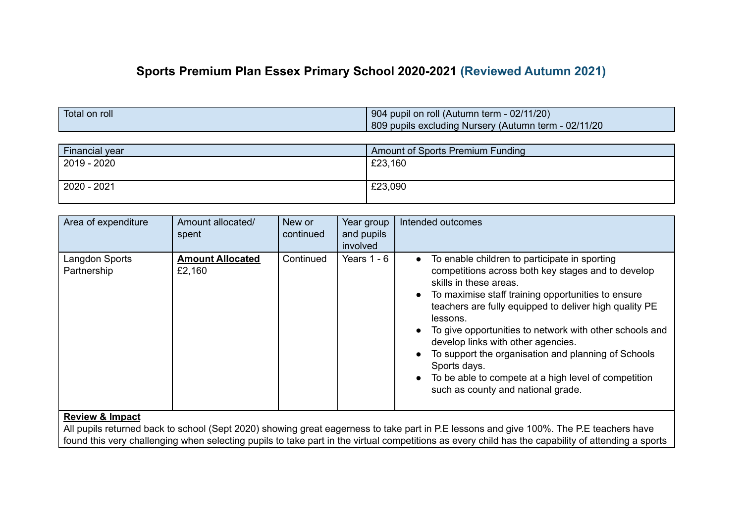# **Sports Premium Plan Essex Primary School 2020-2021 (Reviewed Autumn 2021)**

| Total on roll | 904 pupil on roll (Autumn term - 02/11/20)           |  |  |
|---------------|------------------------------------------------------|--|--|
|               | 809 pupils excluding Nursery (Autumn term - 02/11/20 |  |  |

| <b>Financial year</b> | Amount of Sports Premium Funding |
|-----------------------|----------------------------------|
| $2019 - 2020$         | £23,160                          |
| 2020 - 2021           | £23,090                          |

| Area of expenditure           | Amount allocated/<br>spent        | New or<br>continued | Year group<br>and pupils<br>involved | Intended outcomes                                                                                                                                                                                                                                                                                                                                                                                                                                                                                                                                                                   |
|-------------------------------|-----------------------------------|---------------------|--------------------------------------|-------------------------------------------------------------------------------------------------------------------------------------------------------------------------------------------------------------------------------------------------------------------------------------------------------------------------------------------------------------------------------------------------------------------------------------------------------------------------------------------------------------------------------------------------------------------------------------|
| Langdon Sports<br>Partnership | <b>Amount Allocated</b><br>£2,160 | Continued           | Years $1 - 6$                        | To enable children to participate in sporting<br>$\bullet$<br>competitions across both key stages and to develop<br>skills in these areas.<br>To maximise staff training opportunities to ensure<br>$\bullet$<br>teachers are fully equipped to deliver high quality PE<br>lessons.<br>To give opportunities to network with other schools and<br>$\bullet$<br>develop links with other agencies.<br>To support the organisation and planning of Schools<br>Sports days.<br>To be able to compete at a high level of competition<br>$\bullet$<br>such as county and national grade. |

## **Review & Impact**

All pupils returned back to school (Sept 2020) showing great eagerness to take part in P.E lessons and give 100%. The P.E teachers have found this very challenging when selecting pupils to take part in the virtual competitions as every child has the capability of attending a sports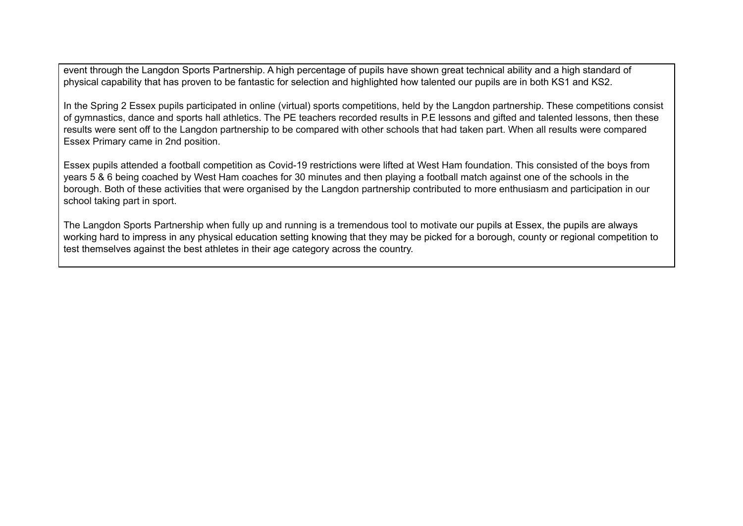event through the Langdon Sports Partnership. A high percentage of pupils have shown great technical ability and a high standard of physical capability that has proven to be fantastic for selection and highlighted how talented our pupils are in both KS1 and KS2.

In the Spring 2 Essex pupils participated in online (virtual) sports competitions, held by the Langdon partnership. These competitions consist of gymnastics, dance and sports hall athletics. The PE teachers recorded results in P.E lessons and gifted and talented lessons, then these results were sent off to the Langdon partnership to be compared with other schools that had taken part. When all results were compared Essex Primary came in 2nd position.

Essex pupils attended a football competition as Covid-19 restrictions were lifted at West Ham foundation. This consisted of the boys from years 5 & 6 being coached by West Ham coaches for 30 minutes and then playing a football match against one of the schools in the borough. Both of these activities that were organised by the Langdon partnership contributed to more enthusiasm and participation in our school taking part in sport.

The Langdon Sports Partnership when fully up and running is a tremendous tool to motivate our pupils at Essex, the pupils are always working hard to impress in any physical education setting knowing that they may be picked for a borough, county or regional competition to test themselves against the best athletes in their age category across the country.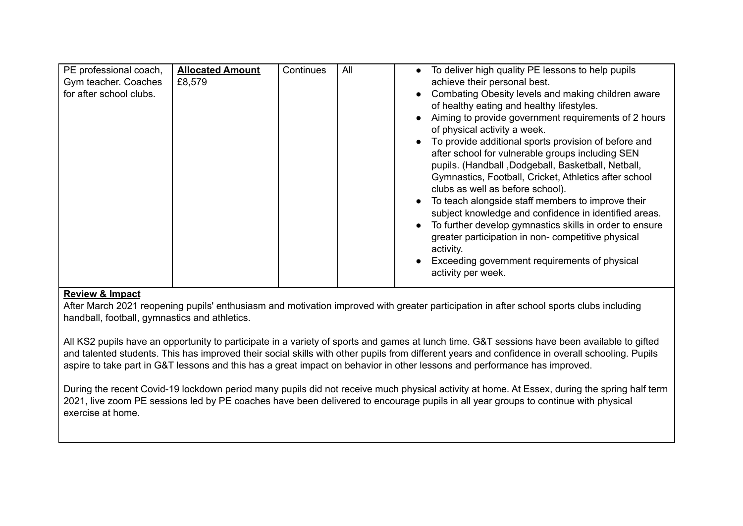| PE professional coach,<br>Gym teacher. Coaches<br>for after school clubs. | <b>Allocated Amount</b><br>£8,579 | Continues | All | To deliver high quality PE lessons to help pupils<br>achieve their personal best.<br>Combating Obesity levels and making children aware<br>of healthy eating and healthy lifestyles.<br>Aiming to provide government requirements of 2 hours<br>of physical activity a week.<br>To provide additional sports provision of before and<br>after school for vulnerable groups including SEN<br>pupils. (Handball, Dodgeball, Basketball, Netball,<br>Gymnastics, Football, Cricket, Athletics after school<br>clubs as well as before school).<br>To teach alongside staff members to improve their<br>subject knowledge and confidence in identified areas.<br>To further develop gymnastics skills in order to ensure<br>greater participation in non-competitive physical<br>activity.<br>Exceeding government requirements of physical<br>activity per week. |
|---------------------------------------------------------------------------|-----------------------------------|-----------|-----|---------------------------------------------------------------------------------------------------------------------------------------------------------------------------------------------------------------------------------------------------------------------------------------------------------------------------------------------------------------------------------------------------------------------------------------------------------------------------------------------------------------------------------------------------------------------------------------------------------------------------------------------------------------------------------------------------------------------------------------------------------------------------------------------------------------------------------------------------------------|
|---------------------------------------------------------------------------|-----------------------------------|-----------|-----|---------------------------------------------------------------------------------------------------------------------------------------------------------------------------------------------------------------------------------------------------------------------------------------------------------------------------------------------------------------------------------------------------------------------------------------------------------------------------------------------------------------------------------------------------------------------------------------------------------------------------------------------------------------------------------------------------------------------------------------------------------------------------------------------------------------------------------------------------------------|

#### **Review & Impact**

After March 2021 reopening pupils' enthusiasm and motivation improved with greater participation in after school sports clubs including handball, football, gymnastics and athletics.

All KS2 pupils have an opportunity to participate in a variety of sports and games at lunch time. G&T sessions have been available to gifted and talented students. This has improved their social skills with other pupils from different years and confidence in overall schooling. Pupils aspire to take part in G&T lessons and this has a great impact on behavior in other lessons and performance has improved.

During the recent Covid-19 lockdown period many pupils did not receive much physical activity at home. At Essex, during the spring half term 2021, live zoom PE sessions led by PE coaches have been delivered to encourage pupils in all year groups to continue with physical exercise at home.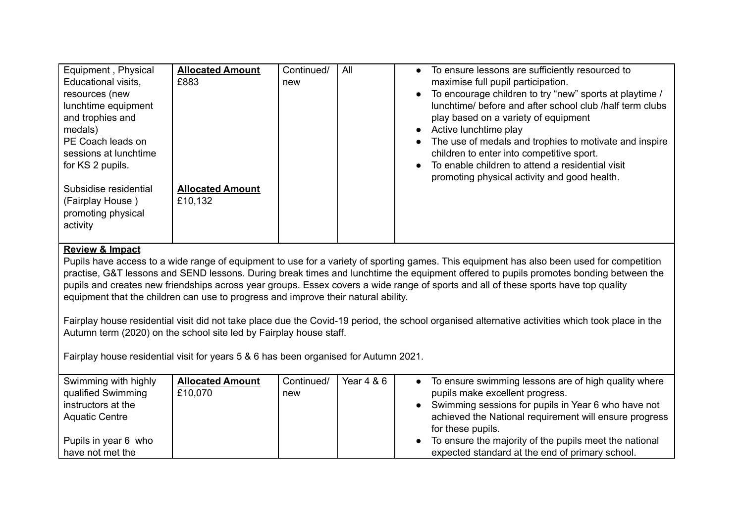| Equipment, Physical<br>Educational visits,<br>resources (new<br>lunchtime equipment<br>and trophies and<br>medals)<br>PE Coach leads on<br>sessions at lunchtime<br>for KS 2 pupils. | <b>Allocated Amount</b><br>£883    | Continued/<br>new | All | To ensure lessons are sufficiently resourced to<br>$\bullet$<br>maximise full pupil participation.<br>To encourage children to try "new" sports at playtime /<br>$\bullet$<br>lunchtime/ before and after school club /half term clubs<br>play based on a variety of equipment<br>Active lunchtime play<br>$\bullet$<br>The use of medals and trophies to motivate and inspire<br>$\bullet$<br>children to enter into competitive sport.<br>To enable children to attend a residential visit<br>$\bullet$<br>promoting physical activity and good health. |
|--------------------------------------------------------------------------------------------------------------------------------------------------------------------------------------|------------------------------------|-------------------|-----|-----------------------------------------------------------------------------------------------------------------------------------------------------------------------------------------------------------------------------------------------------------------------------------------------------------------------------------------------------------------------------------------------------------------------------------------------------------------------------------------------------------------------------------------------------------|
| Subsidise residential<br>(Fairplay House)<br>promoting physical<br>activity                                                                                                          | <b>Allocated Amount</b><br>£10,132 |                   |     |                                                                                                                                                                                                                                                                                                                                                                                                                                                                                                                                                           |

## **Review & Impact**

Pupils have access to a wide range of equipment to use for a variety of sporting games. This equipment has also been used for competition practise, G&T lessons and SEND lessons. During break times and lunchtime the equipment offered to pupils promotes bonding between the pupils and creates new friendships across year groups. Essex covers a wide range of sports and all of these sports have top quality equipment that the children can use to progress and improve their natural ability.

Fairplay house residential visit did not take place due the Covid-19 period, the school organised alternative activities which took place in the Autumn term (2020) on the school site led by Fairplay house staff.

Fairplay house residential visit for years 5 & 6 has been organised for Autumn 2021.

| Swimming with highly<br>qualified Swimming | <b>Allocated Amount</b><br>£10,070 | Continued/<br>new | Year $4 & 6$ | • To ensure swimming lessons are of high quality where<br>pupils make excellent progress. |
|--------------------------------------------|------------------------------------|-------------------|--------------|-------------------------------------------------------------------------------------------|
|                                            |                                    |                   |              |                                                                                           |
| instructors at the                         |                                    |                   |              | • Swimming sessions for pupils in Year 6 who have not                                     |
| <b>Aquatic Centre</b>                      |                                    |                   |              | achieved the National requirement will ensure progress                                    |
|                                            |                                    |                   |              | for these pupils.                                                                         |
| Pupils in year 6 who                       |                                    |                   |              | • To ensure the majority of the pupils meet the national                                  |
| have not met the                           |                                    |                   |              | expected standard at the end of primary school.                                           |